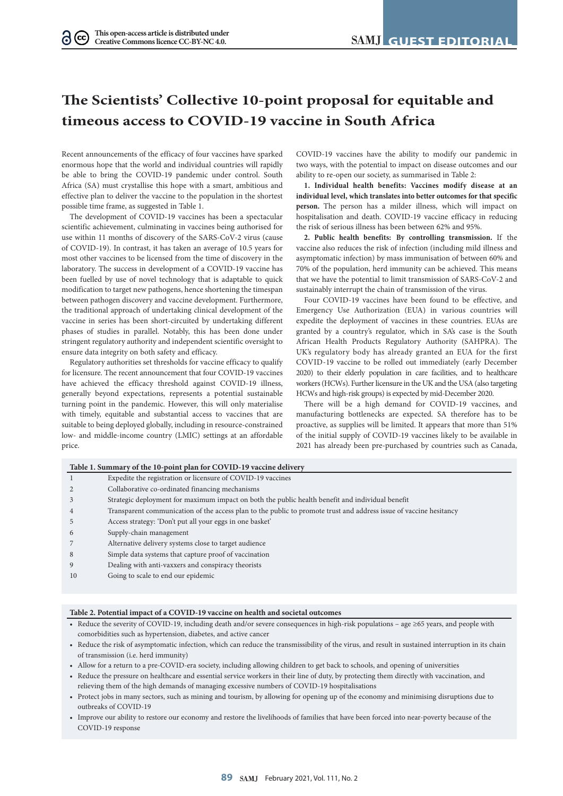# **The Scientists' Collective 10-point proposal for equitable and timeous access to COVID-19 vaccine in South Africa**

Recent announcements of the efficacy of four vaccines have sparked enormous hope that the world and individual countries will rapidly be able to bring the COVID-19 pandemic under control. South Africa (SA) must crystallise this hope with a smart, ambitious and effective plan to deliver the vaccine to the population in the shortest possible time frame, as suggested in Table 1.

The development of COVID-19 vaccines has been a spectacular scientific achievement, culminating in vaccines being authorised for use within 11 months of discovery of the SARS-CoV-2 virus (cause of COVID-19). In contrast, it has taken an average of 10.5 years for most other vaccines to be licensed from the time of discovery in the laboratory. The success in development of a COVID-19 vaccine has been fuelled by use of novel technology that is adaptable to quick modification to target new pathogens, hence shortening the timespan between pathogen discovery and vaccine development. Furthermore, the traditional approach of undertaking clinical development of the vaccine in series has been short-circuited by undertaking different phases of studies in parallel. Notably, this has been done under stringent regulatory authority and independent scientific oversight to ensure data integrity on both safety and efficacy.

Regulatory authorities set thresholds for vaccine efficacy to qualify for licensure. The recent announcement that four COVID-19 vaccines have achieved the efficacy threshold against COVID-19 illness, generally beyond expectations, represents a potential sustainable turning point in the pandemic. However, this will only materialise with timely, equitable and substantial access to vaccines that are suitable to being deployed globally, including in resource-constrained low- and middle-income country (LMIC) settings at an affordable price.

COVID-19 vaccines have the ability to modify our pandemic in two ways, with the potential to impact on disease outcomes and our ability to re-open our society, as summarised in Table 2:

**1. Individual health benefits: Vaccines modify disease at an individual level, which translates into better outcomes for that specific person.** The person has a milder illness, which will impact on hospitalisation and death. COVID-19 vaccine efficacy in reducing the risk of serious illness has been between 62% and 95%.

**2. Public health benefits: By controlling transmission.** If the vaccine also reduces the risk of infection (including mild illness and asymptomatic infection) by mass immunisation of between 60% and 70% of the population, herd immunity can be achieved. This means that we have the potential to limit transmission of SARS-CoV-2 and sustainably interrupt the chain of transmission of the virus.

Four COVID-19 vaccines have been found to be effective, and Emergency Use Authorization (EUA) in various countries will expedite the deployment of vaccines in these countries. EUAs are granted by a country's regulator, which in SA's case is the South African Health Products Regulatory Authority (SAHPRA). The UK's regulatory body has already granted an EUA for the first COVID-19 vaccine to be rolled out immediately (early December 2020) to their elderly population in care facilities, and to healthcare workers (HCWs). Further licensure in the UK and the USA (also targeting HCWs and high-risk groups) is expected by mid-December 2020.

There will be a high demand for COVID-19 vaccines, and manufacturing bottlenecks are expected. SA therefore has to be proactive, as supplies will be limited. It appears that more than 51% of the initial supply of COVID-19 vaccines likely to be available in 2021 has already been pre-purchased by countries such as Canada,

|    | Expedite the registration or licensure of COVID-19 vaccines                                                        |
|----|--------------------------------------------------------------------------------------------------------------------|
|    | Collaborative co-ordinated financing mechanisms                                                                    |
|    | Strategic deployment for maximum impact on both the public health benefit and individual benefit                   |
| 4  | Transparent communication of the access plan to the public to promote trust and address issue of vaccine hesitancy |
|    | Access strategy: 'Don't put all your eggs in one basket'                                                           |
| 6  | Supply-chain management                                                                                            |
|    | Alternative delivery systems close to target audience                                                              |
| 8  | Simple data systems that capture proof of vaccination                                                              |
| 9  | Dealing with anti-vaxxers and conspiracy theorists                                                                 |
| 10 | Going to scale to end our epidemic                                                                                 |

#### **Table 2. Potential impact of a COVID-19 vaccine on health and societal outcomes**

- Reduce the severity of COVID-19, including death and/or severe consequences in high-risk populations age ≥65 years, and people with comorbidities such as hypertension, diabetes, and active cancer
- Reduce the risk of asymptomatic infection, which can reduce the transmissibility of the virus, and result in sustained interruption in its chain of transmission (i.e. herd immunity)
- Allow for a return to a pre-COVID-era society, including allowing children to get back to schools, and opening of universities
- Reduce the pressure on healthcare and essential service workers in their line of duty, by protecting them directly with vaccination, and relieving them of the high demands of managing excessive numbers of COVID-19 hospitalisations
- Protect jobs in many sectors, such as mining and tourism, by allowing for opening up of the economy and minimising disruptions due to outbreaks of COVID-19
- Improve our ability to restore our economy and restore the livelihoods of families that have been forced into near-poverty because of the COVID-19 response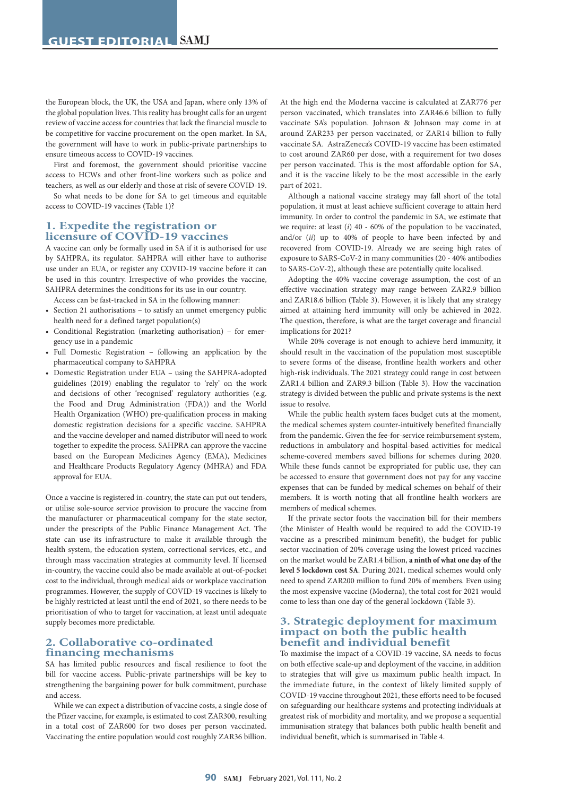the European block, the UK, the USA and Japan, where only 13% of the global population lives. This reality has brought calls for an urgent review of vaccine access for countries that lack the financial muscle to be competitive for vaccine procurement on the open market. In SA, the government will have to work in public-private partnerships to ensure timeous access to COVID-19 vaccines.

First and foremost, the government should prioritise vaccine access to HCWs and other front-line workers such as police and teachers, as well as our elderly and those at risk of severe COVID-19.

So what needs to be done for SA to get timeous and equitable access to COVID-19 vaccines (Table 1)?

## **1. Expedite the registration or licensure of COVID-19 vaccines**

A vaccine can only be formally used in SA if it is authorised for use by SAHPRA, its regulator. SAHPRA will either have to authorise use under an EUA, or register any COVID-19 vaccine before it can be used in this country. Irrespective of who provides the vaccine, SAHPRA determines the conditions for its use in our country.

Access can be fast-tracked in SA in the following manner:

- Section 21 authorisations to satisfy an unmet emergency public health need for a defined target population(s)
- Conditional Registration (marketing authorisation) for emergency use in a pandemic
- Full Domestic Registration following an application by the pharmaceutical company to SAHPRA
- Domestic Registration under EUA using the SAHPRA-adopted guidelines (2019) enabling the regulator to 'rely' on the work and decisions of other 'recognised' regulatory authorities (e.g. the Food and Drug Administration (FDA)) and the World Health Organization (WHO) pre-qualification process in making domestic registration decisions for a specific vaccine. SAHPRA and the vaccine developer and named distributor will need to work together to expedite the process. SAHPRA can approve the vaccine based on the European Medicines Agency (EMA), Medicines and Healthcare Products Regulatory Agency (MHRA) and FDA approval for EUA.

Once a vaccine is registered in-country, the state can put out tenders, or utilise sole-source service provision to procure the vaccine from the manufacturer or pharmaceutical company for the state sector, under the prescripts of the Public Finance Management Act. The state can use its infrastructure to make it available through the health system, the education system, correctional services, etc., and through mass vaccination strategies at community level. If licensed in-country, the vaccine could also be made available at out-of-pocket cost to the individual, through medical aids or workplace vaccination programmes. However, the supply of COVID-19 vaccines is likely to be highly restricted at least until the end of 2021, so there needs to be prioritisation of who to target for vaccination, at least until adequate supply becomes more predictable.

# **2. Collaborative co-ordinated financing mechanisms**

SA has limited public resources and fiscal resilience to foot the bill for vaccine access. Public-private partnerships will be key to strengthening the bargaining power for bulk commitment, purchase and access.

While we can expect a distribution of vaccine costs, a single dose of the Pfizer vaccine, for example, is estimated to cost ZAR300, resulting in a total cost of ZAR600 for two doses per person vaccinated. Vaccinating the entire population would cost roughly ZAR36 billion.

At the high end the Moderna vaccine is calculated at ZAR776 per person vaccinated, which translates into ZAR46.6 billion to fully vaccinate SA's population. Johnson & Johnson may come in at around ZAR233 per person vaccinated, or ZAR14 billion to fully vaccinate SA. AstraZeneca's COVID-19 vaccine has been estimated to cost around ZAR60 per dose, with a requirement for two doses per person vaccinated. This is the most affordable option for SA, and it is the vaccine likely to be the most accessible in the early part of 2021.

Although a national vaccine strategy may fall short of the total population, it must at least achieve sufficient coverage to attain herd immunity. In order to control the pandemic in SA, we estimate that we require: at least (*i*) 40 - 60% of the population to be vaccinated, and/or (*ii*) up to 40% of people to have been infected by and recovered from COVID-19. Already we are seeing high rates of exposure to SARS-CoV-2 in many communities (20 - 40% antibodies to SARS-CoV-2), although these are potentially quite localised.

Adopting the 40% vaccine coverage assumption, the cost of an effective vaccination strategy may range between ZAR2.9 billion and ZAR18.6 billion (Table 3). However, it is likely that any strategy aimed at attaining herd immunity will only be achieved in 2022. The question, therefore, is what are the target coverage and financial implications for 2021?

While 20% coverage is not enough to achieve herd immunity, it should result in the vaccination of the population most susceptible to severe forms of the disease, frontline health workers and other high-risk individuals. The 2021 strategy could range in cost between ZAR1.4 billion and ZAR9.3 billion (Table 3). How the vaccination strategy is divided between the public and private systems is the next issue to resolve.

While the public health system faces budget cuts at the moment, the medical schemes system counter-intuitively benefited financially from the pandemic. Given the fee-for-service reimbursement system, reductions in ambulatory and hospital-based activities for medical scheme-covered members saved billions for schemes during 2020. While these funds cannot be expropriated for public use, they can be accessed to ensure that government does not pay for any vaccine expenses that can be funded by medical schemes on behalf of their members. It is worth noting that all frontline health workers are members of medical schemes.

If the private sector foots the vaccination bill for their members (the Minister of Health would be required to add the COVID-19 vaccine as a prescribed minimum benefit), the budget for public sector vaccination of 20% coverage using the lowest priced vaccines on the market would be ZAR1.4 billion, **a ninth of what one day of the level 5 lockdown cost SA**. During 2021, medical schemes would only need to spend ZAR200 million to fund 20% of members. Even using the most expensive vaccine (Moderna), the total cost for 2021 would come to less than one day of the general lockdown (Table 3).

# **3. Strategic deployment for maximum impact on both the public health benefit and individual benefit**

To maximise the impact of a COVID-19 vaccine, SA needs to focus on both effective scale-up and deployment of the vaccine, in addition to strategies that will give us maximum public health impact. In the immediate future, in the context of likely limited supply of COVID-19 vaccine throughout 2021, these efforts need to be focused on safeguarding our healthcare systems and protecting individuals at greatest risk of morbidity and mortality, and we propose a sequential immunisation strategy that balances both public health benefit and individual benefit, which is summarised in Table 4.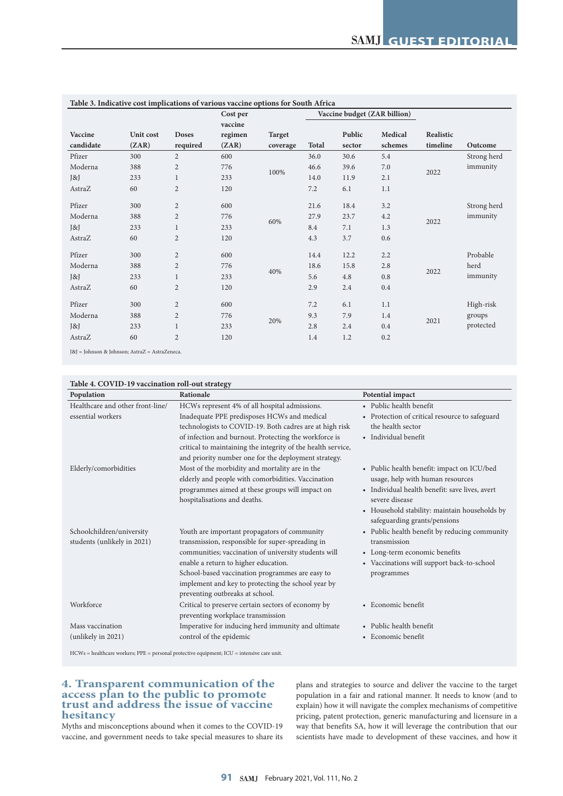| Table 3. Indicative cost implications of various vaccine options for South Africa |           |                |          |               |              |        |                              |           |             |
|-----------------------------------------------------------------------------------|-----------|----------------|----------|---------------|--------------|--------|------------------------------|-----------|-------------|
|                                                                                   |           |                | Cost per |               |              |        | Vaccine budget (ZAR billion) |           |             |
|                                                                                   |           |                | vaccine  |               |              |        |                              |           |             |
| Vaccine                                                                           | Unit cost | <b>Doses</b>   | regimen  | <b>Target</b> |              | Public | Medical                      | Realistic |             |
| candidate                                                                         | (ZAR)     | required       | (ZAR)    | coverage      | <b>Total</b> | sector | schemes                      | timeline  | Outcome     |
| Pfizer                                                                            | 300       | $\overline{2}$ | 600      |               | 36.0         | 30.6   | 5.4                          |           | Strong herd |
| Moderna                                                                           | 388       | $\mathbf{2}$   | 776      | 100%          | 46.6         | 39.6   | 7.0                          | 2022      | immunity    |
| J&J                                                                               | 233       | $\mathbf{1}$   | 233      |               | 14.0         | 11.9   | 2.1                          |           |             |
| AstraZ                                                                            | 60        | $\overline{c}$ | 120      |               | 7.2          | 6.1    | 1.1                          |           |             |
| Pfizer                                                                            | 300       | $\overline{c}$ | 600      |               | 21.6         | 18.4   | 3.2                          |           | Strong herd |
| Moderna                                                                           | 388       | $\overline{c}$ | 776      |               | 27.9         | 23.7   | 4.2                          |           | immunity    |
| $\left[\infty\right]$                                                             | 233       | $\mathbf 1$    | 233      | 60%           | 8.4          | 7.1    | 1.3                          | 2022      |             |
| AstraZ                                                                            | 60        | $\mathbf{2}$   | 120      |               | 4.3          | 3.7    | 0.6                          |           |             |
| Pfizer                                                                            | 300       | $\overline{2}$ | 600      |               | 14.4         | 12.2   | 2.2                          |           | Probable    |
| Moderna                                                                           | 388       | $\overline{c}$ | 776      | 40%           | 18.6         | 15.8   | 2.8                          | 2022      | herd        |
| J&J                                                                               | 233       | $\mathbf 1$    | 233      |               | 5.6          | 4.8    | 0.8                          |           | immunity    |
| AstraZ                                                                            | 60        | $\overline{c}$ | 120      |               | 2.9          | 2.4    | $0.4\,$                      |           |             |
| Pfizer                                                                            | 300       | $\overline{c}$ | 600      |               | 7.2          | 6.1    | 1.1                          |           | High-risk   |
| Moderna                                                                           | 388       | $\overline{c}$ | 776      |               | 9.3          | 7.9    | 1.4                          |           | groups      |
| $\left[\infty\right]$                                                             | 233       | $\mathbf 1$    | 233      | 20%           | 2.8          | 2.4    | $0.4\,$                      | 2021      | protected   |
| AstraZ                                                                            | 60        | $\overline{c}$ | 120      |               | 1.4          | 1.2    | 0.2                          |           |             |

J&J = Johnson & Johnson; AstraZ = AstraZeneca.

# **Table 4. COVID-19 vaccination roll-out strategy**

| Population                       | Rationale                                                    | Potential impact                               |
|----------------------------------|--------------------------------------------------------------|------------------------------------------------|
| Healthcare and other front-line/ | HCWs represent 4% of all hospital admissions.                | • Public health benefit                        |
| essential workers                | Inadequate PPE predisposes HCWs and medical                  | • Protection of critical resource to safeguard |
|                                  | technologists to COVID-19. Both cadres are at high risk      | the health sector                              |
|                                  | of infection and burnout. Protecting the workforce is        | • Individual benefit                           |
|                                  | critical to maintaining the integrity of the health service, |                                                |
|                                  | and priority number one for the deployment strategy.         |                                                |
| Elderly/comorbidities            | Most of the morbidity and mortality are in the               | • Public health benefit: impact on ICU/bed     |
|                                  | elderly and people with comorbidities. Vaccination           | usage, help with human resources               |
|                                  | programmes aimed at these groups will impact on              | • Individual health benefit: save lives, avert |
|                                  | hospitalisations and deaths.                                 | severe disease                                 |
|                                  |                                                              | • Household stability: maintain households by  |
|                                  |                                                              | safeguarding grants/pensions                   |
| Schoolchildren/university        | Youth are important propagators of community                 | • Public health benefit by reducing community  |
| students (unlikely in 2021)      | transmission, responsible for super-spreading in             | transmission                                   |
|                                  | communities; vaccination of university students will         | • Long-term economic benefits                  |
|                                  | enable a return to higher education.                         | • Vaccinations will support back-to-school     |
|                                  | School-based vaccination programmes are easy to              | programmes                                     |
|                                  | implement and key to protecting the school year by           |                                                |
|                                  | preventing outbreaks at school.                              |                                                |
| Workforce                        | Critical to preserve certain sectors of economy by           | • Economic benefit                             |
|                                  | preventing workplace transmission                            |                                                |
| Mass vaccination                 | Imperative for inducing herd immunity and ultimate           | • Public health benefit                        |
| (unlikely in 2021)               | control of the epidemic                                      | • Economic benefit                             |
|                                  |                                                              |                                                |

HCWs = healthcare workers; PPE = personal protective equipment; ICU = intensive care unit.

# **4. Transparent communication of the access plan to the public to promote trust and address the issue of vaccine hesitancy**

Myths and misconceptions abound when it comes to the COVID-19 vaccine, and government needs to take special measures to share its

plans and strategies to source and deliver the vaccine to the target population in a fair and rational manner. It needs to know (and to explain) how it will navigate the complex mechanisms of competitive pricing, patent protection, generic manufacturing and licensure in a way that benefits SA, how it will leverage the contribution that our scientists have made to development of these vaccines, and how it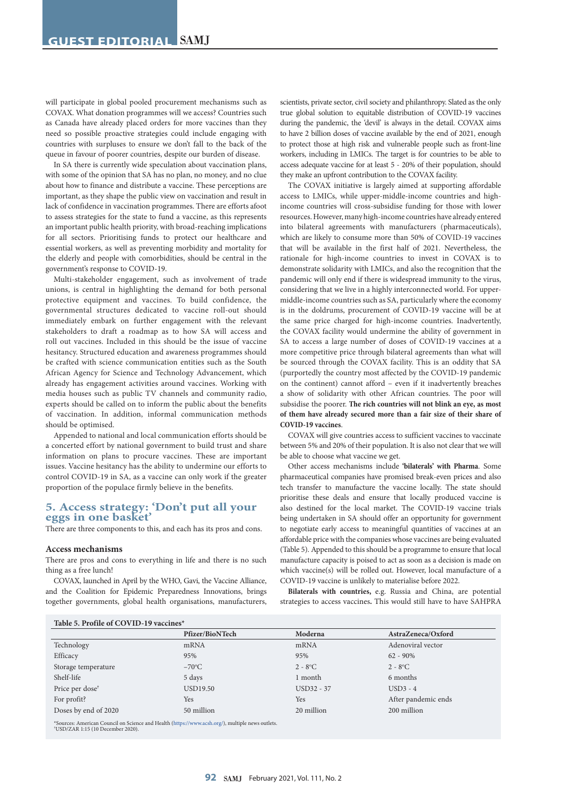will participate in global pooled procurement mechanisms such as COVAX. What donation programmes will we access? Countries such as Canada have already placed orders for more vaccines than they need so possible proactive strategies could include engaging with countries with surpluses to ensure we don't fall to the back of the queue in favour of poorer countries, despite our burden of disease.

In SA there is currently wide speculation about vaccination plans, with some of the opinion that SA has no plan, no money, and no clue about how to finance and distribute a vaccine. These perceptions are important, as they shape the public view on vaccination and result in lack of confidence in vaccination programmes. There are efforts afoot to assess strategies for the state to fund a vaccine, as this represents an important public health priority, with broad-reaching implications for all sectors. Prioritising funds to protect our healthcare and essential workers, as well as preventing morbidity and mortality for the elderly and people with comorbidities, should be central in the government's response to COVID-19.

Multi-stakeholder engagement, such as involvement of trade unions, is central in highlighting the demand for both personal protective equipment and vaccines. To build confidence, the governmental structures dedicated to vaccine roll-out should immediately embark on further engagement with the relevant stakeholders to draft a roadmap as to how SA will access and roll out vaccines. Included in this should be the issue of vaccine hesitancy. Structured education and awareness programmes should be crafted with science communication entities such as the South African Agency for Science and Technology Advancement, which already has engagement activities around vaccines. Working with media houses such as public TV channels and community radio, experts should be called on to inform the public about the benefits of vaccination. In addition, informal communication methods should be optimised.

Appended to national and local communication efforts should be a concerted effort by national government to build trust and share information on plans to procure vaccines. These are important issues. Vaccine hesitancy has the ability to undermine our efforts to control COVID-19 in SA, as a vaccine can only work if the greater proportion of the populace firmly believe in the benefits.

## **5. Access strategy: 'Don't put all your eggs in one basket'**

There are three components to this, and each has its pros and cons.

#### **Access mechanisms**

There are pros and cons to everything in life and there is no such thing as a free lunch!

COVAX, launched in April by the WHO, Gavi, the Vaccine Alliance, and the Coalition for Epidemic Preparedness Innovations, brings together governments, global health organisations, manufacturers, scientists, private sector, civil society and philanthropy. Slated as the only true global solution to equitable distribution of COVID-19 vaccines during the pandemic, the 'devil' is always in the detail. COVAX aims to have 2 billion doses of vaccine available by the end of 2021, enough to protect those at high risk and vulnerable people such as front-line workers, including in LMICs. The target is for countries to be able to access adequate vaccine for at least 5 - 20% of their population, should they make an upfront contribution to the COVAX facility.

The COVAX initiative is largely aimed at supporting affordable access to LMICs, while upper-middle-income countries and highincome countries will cross-subsidise funding for those with lower resources. However, many high-income countries have already entered into bilateral agreements with manufacturers (pharmaceuticals), which are likely to consume more than 50% of COVID-19 vaccines that will be available in the first half of 2021. Nevertheless, the rationale for high-income countries to invest in COVAX is to demonstrate solidarity with LMICs, and also the recognition that the pandemic will only end if there is widespread immunity to the virus, considering that we live in a highly interconnected world. For uppermiddle-income countries such as SA, particularly where the economy is in the doldrums, procurement of COVID-19 vaccine will be at the same price charged for high-income countries. Inadvertently, the COVAX facility would undermine the ability of government in SA to access a large number of doses of COVID-19 vaccines at a more competitive price through bilateral agreements than what will be sourced through the COVAX facility. This is an oddity that SA (purportedly the country most affected by the COVID-19 pandemic on the continent) cannot afford – even if it inadvertently breaches a show of solidarity with other African countries. The poor will subsidise the poorer. **The rich countries will not blink an eye, as most of them have already secured more than a fair size of their share of COVID-19 vaccines**.

COVAX will give countries access to sufficient vaccines to vaccinate between 5% and 20% of their population. It is also not clear that we will be able to choose what vaccine we get.

Other access mechanisms include **'bilaterals' with Pharma**. Some pharmaceutical companies have promised break-even prices and also tech transfer to manufacture the vaccine locally. The state should prioritise these deals and ensure that locally produced vaccine is also destined for the local market. The COVID-19 vaccine trials being undertaken in SA should offer an opportunity for government to negotiate early access to meaningful quantities of vaccines at an affordable price with the companies whose vaccines are being evaluated (Table 5). Appended to this should be a programme to ensure that local manufacture capacity is poised to act as soon as a decision is made on which vaccine(s) will be rolled out. However, local manufacture of a COVID-19 vaccine is unlikely to materialise before 2022.

**Bilaterals with countries,** e.g. Russia and China, are potential strategies to access vaccines**.** This would still have to have SAHPRA

|                             | Pfizer/BioNTech | Moderna    | AstraZeneca/Oxford  |
|-----------------------------|-----------------|------------|---------------------|
|                             |                 |            |                     |
| Technology                  | mRNA            | mRNA       | Adenoviral vector   |
| Efficacy                    | 95%             | 95%        | $62 - 90\%$         |
| Storage temperature         | $-70^{\circ}$ C | $2 - 8$ °C | $2 - 8$ °C          |
| Shelf-life                  | 5 days          | 1 month    | 6 months            |
| Price per dose <sup>†</sup> | USD19.50        | USD32 - 37 | $USD3 - 4$          |
| For profit?                 | <b>Yes</b>      | <b>Yes</b> | After pandemic ends |
| Doses by end of 2020        | 50 million      | 20 million | 200 million         |

Souncil on Science and Health [\(https://www.acsh.org/](https://www.acsh.org/)), multiple news outlets. USD/ZAR 1:15 (10 December 2020).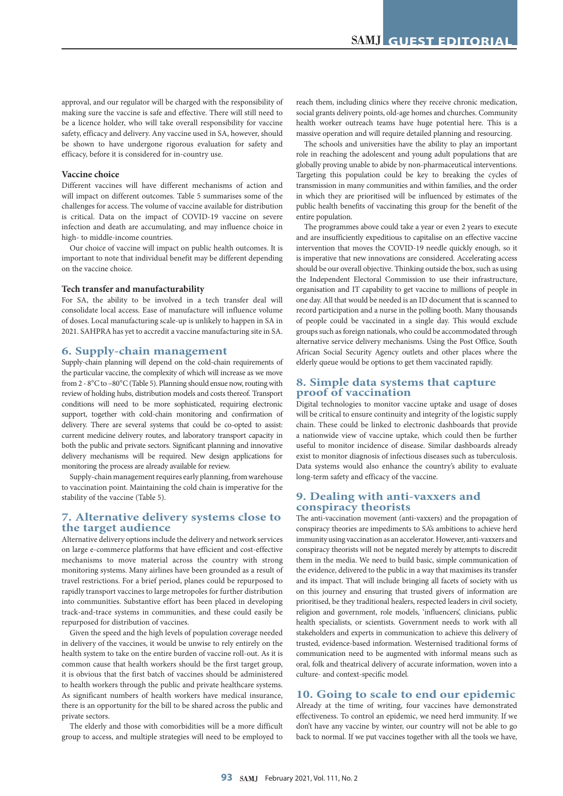approval, and our regulator will be charged with the responsibility of making sure the vaccine is safe and effective. There will still need to be a licence holder, who will take overall responsibility for vaccine safety, efficacy and delivery. Any vaccine used in SA, however, should be shown to have undergone rigorous evaluation for safety and efficacy, before it is considered for in-country use.

#### **Vaccine choice**

Different vaccines will have different mechanisms of action and will impact on different outcomes. Table 5 summarises some of the challenges for access. The volume of vaccine available for distribution is critical. Data on the impact of COVID-19 vaccine on severe infection and death are accumulating, and may influence choice in high- to middle-income countries.

Our choice of vaccine will impact on public health outcomes. It is important to note that individual benefit may be different depending on the vaccine choice.

#### **Tech transfer and manufacturability**

For SA, the ability to be involved in a tech transfer deal will consolidate local access. Ease of manufacture will influence volume of doses. Local manufacturing scale-up is unlikely to happen in SA in 2021. SAHPRA has yet to accredit a vaccine manufacturing site in SA.

### **6. Supply-chain management**

Supply-chain planning will depend on the cold-chain requirements of the particular vaccine, the complexity of which will increase as we move from 2 - 8°C to –80°C (Table 5). Planning should ensue now, routing with review of holding hubs, distribution models and costs thereof. Transport conditions will need to be more sophisticated, requiring electronic support, together with cold-chain monitoring and confirmation of delivery. There are several systems that could be co-opted to assist: current medicine delivery routes, and laboratory transport capacity in both the public and private sectors. Significant planning and innovative delivery mechanisms will be required. New design applications for monitoring the process are already available for review.

Supply-chain management requires early planning, from warehouse to vaccination point. Maintaining the cold chain is imperative for the stability of the vaccine (Table 5).

# **7. Alternative delivery systems close to the target audience**

Alternative delivery options include the delivery and network services on large e-commerce platforms that have efficient and cost-effective mechanisms to move material across the country with strong monitoring systems. Many airlines have been grounded as a result of travel restrictions. For a brief period, planes could be repurposed to rapidly transport vaccines to large metropoles for further distribution into communities. Substantive effort has been placed in developing track-and-trace systems in communities, and these could easily be repurposed for distribution of vaccines.

Given the speed and the high levels of population coverage needed in delivery of the vaccines, it would be unwise to rely entirely on the health system to take on the entire burden of vaccine roll-out. As it is common cause that health workers should be the first target group, it is obvious that the first batch of vaccines should be administered to health workers through the public and private healthcare systems. As significant numbers of health workers have medical insurance, there is an opportunity for the bill to be shared across the public and private sectors.

The elderly and those with comorbidities will be a more difficult group to access, and multiple strategies will need to be employed to reach them, including clinics where they receive chronic medication, social grants delivery points, old-age homes and churches. Community health worker outreach teams have huge potential here. This is a massive operation and will require detailed planning and resourcing.

The schools and universities have the ability to play an important role in reaching the adolescent and young adult populations that are globally proving unable to abide by non-pharmaceutical interventions. Targeting this population could be key to breaking the cycles of transmission in many communities and within families, and the order in which they are prioritised will be influenced by estimates of the public health benefits of vaccinating this group for the benefit of the entire population.

The programmes above could take a year or even 2 years to execute and are insufficiently expeditious to capitalise on an effective vaccine intervention that moves the COVID-19 needle quickly enough, so it is imperative that new innovations are considered. Accelerating access should be our overall objective. Thinking outside the box, such as using the Independent Electoral Commission to use their infrastructure, organisation and IT capability to get vaccine to millions of people in one day. All that would be needed is an ID document that is scanned to record participation and a nurse in the polling booth. Many thousands of people could be vaccinated in a single day. This would exclude groups such as foreign nationals, who could be accommodated through alternative service delivery mechanisms. Using the Post Office, South African Social Security Agency outlets and other places where the elderly queue would be options to get them vaccinated rapidly.

## **8. Simple data systems that capture proof of vaccination**

Digital technologies to monitor vaccine uptake and usage of doses will be critical to ensure continuity and integrity of the logistic supply chain. These could be linked to electronic dashboards that provide a nationwide view of vaccine uptake, which could then be further useful to monitor incidence of disease. Similar dashboards already exist to monitor diagnosis of infectious diseases such as tuberculosis. Data systems would also enhance the country's ability to evaluate long-term safety and efficacy of the vaccine.

## **9. Dealing with anti-vaxxers and conspiracy theorists**

The anti-vaccination movement (anti-vaxxers) and the propagation of conspiracy theories are impediments to SA's ambitions to achieve herd immunity using vaccination as an accelerator. However, anti-vaxxers and conspiracy theorists will not be negated merely by attempts to discredit them in the media. We need to build basic, simple communication of the evidence, delivered to the public in a way that maximises its transfer and its impact. That will include bringing all facets of society with us on this journey and ensuring that trusted givers of information are prioritised, be they traditional healers, respected leaders in civil society, religion and government, role models, 'influencers', clinicians, public health specialists, or scientists. Government needs to work with all stakeholders and experts in communication to achieve this delivery of trusted, evidence-based information. Westernised traditional forms of communication need to be augmented with informal means such as oral, folk and theatrical delivery of accurate information, woven into a culture- and context-specific model.

## **10. Going to scale to end our epidemic**

Already at the time of writing, four vaccines have demonstrated effectiveness. To control an epidemic, we need herd immunity. If we don't have any vaccine by winter, our country will not be able to go back to normal. If we put vaccines together with all the tools we have,